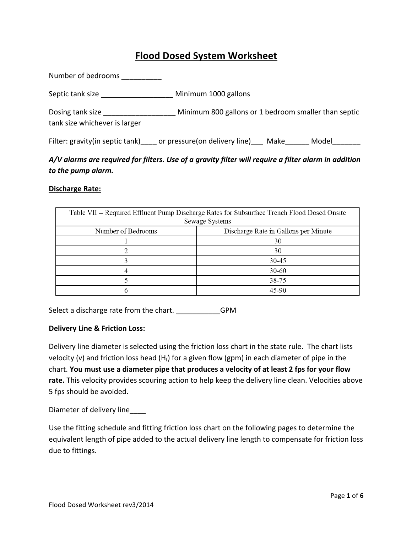# **Flood Dosed System Worksheet**

Number of bedrooms \_\_\_\_\_\_\_\_\_\_\_ Septic tank size \_\_\_\_\_\_\_\_\_\_\_\_\_\_\_\_\_\_\_\_\_ Minimum 1000 gallons Dosing tank size **Example 20** Minimum 800 gallons or 1 bedroom smaller than septic tank size whichever is larger Filter: gravity(in septic tank) or pressure(on delivery line) Make Model

# A/V alarms are required for filters. Use of a gravity filter will require a filter alarm in addition to the pump alarm.

#### **Discharge Rate:**

| Table VII - Required Effluent Pump Discharge Rates for Subsurface Trench Flood Dosed Onsite<br>Sewage Systems |                                      |  |  |  |  |  |
|---------------------------------------------------------------------------------------------------------------|--------------------------------------|--|--|--|--|--|
| Number of Bedrooms                                                                                            | Discharge Rate in Gallons per Minute |  |  |  |  |  |
|                                                                                                               | 30                                   |  |  |  |  |  |
|                                                                                                               | 30                                   |  |  |  |  |  |
|                                                                                                               | 30-45                                |  |  |  |  |  |
|                                                                                                               | 30-60                                |  |  |  |  |  |
|                                                                                                               | 38-75                                |  |  |  |  |  |
|                                                                                                               | 45-90                                |  |  |  |  |  |

Select a discharge rate from the chart. \_\_\_\_\_\_\_\_\_\_\_\_GPM

### **Delivery Line & Friction Loss:**

Delivery line diameter is selected using the friction loss chart in the state rule. The chart lists velocity (v) and friction loss head  $(H_f)$  for a given flow (gpm) in each diameter of pipe in the chart. You must use a diameter pipe that produces a velocity of at least 2 fps for your flow **rate.** This velocity provides scouring action to help keep the delivery line clean. Velocities above 5 fps should be avoided.

Diameter of delivery line

Use the fitting schedule and fitting friction loss chart on the following pages to determine the equivalent length of pipe added to the actual delivery line length to compensate for friction loss due to fittings.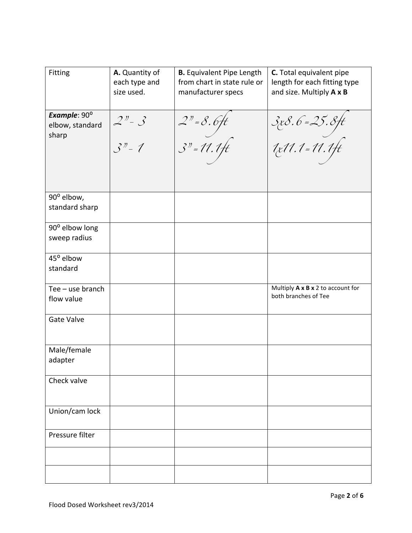| <b>Fitting</b>                                    | A. Quantity of<br>each type and<br>size used. | <b>B.</b> Equivalent Pipe Length<br>from chart in state rule or<br>manufacturer specs | C. Total equivalent pipe<br>length for each fitting type<br>and size. Multiply A x B |
|---------------------------------------------------|-----------------------------------------------|---------------------------------------------------------------------------------------|--------------------------------------------------------------------------------------|
| Example: $90^{\circ}$<br>elbow, standard<br>sharp | $2n - 3$<br>$3n - 1$                          | $2" = 8.6$ ft<br>$3" = 11.1$ ft                                                       | 3x8.6=25.8ft<br>1x11.1=11.1ft                                                        |
| 90° elbow,<br>standard sharp                      |                                               |                                                                                       |                                                                                      |
| 90° elbow long<br>sweep radius                    |                                               |                                                                                       |                                                                                      |
| 45° elbow<br>standard                             |                                               |                                                                                       |                                                                                      |
| Tee - use branch<br>flow value                    |                                               |                                                                                       | Multiply A x B x 2 to account for<br>both branches of Tee                            |
| <b>Gate Valve</b>                                 |                                               |                                                                                       |                                                                                      |
| Male/female<br>adapter                            |                                               |                                                                                       |                                                                                      |
| Check valve                                       |                                               |                                                                                       |                                                                                      |
| Union/cam lock                                    |                                               |                                                                                       |                                                                                      |
| Pressure filter                                   |                                               |                                                                                       |                                                                                      |
|                                                   |                                               |                                                                                       |                                                                                      |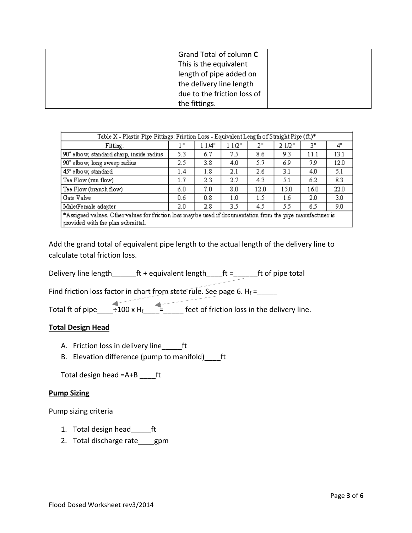| Grand Total of column C     |  |
|-----------------------------|--|
| This is the equivalent      |  |
| length of pipe added on     |  |
| the delivery line length    |  |
| due to the friction loss of |  |
| the fittings.               |  |

| Table X - Plastic Pipe Fittings: Friction Loss - Equivalent Length of Straight Pipe (ft.)*                                                       |              |               |       |      |       |      |      |  |  |  |
|--------------------------------------------------------------------------------------------------------------------------------------------------|--------------|---------------|-------|------|-------|------|------|--|--|--|
| Fitting:                                                                                                                                         | $\mathbf{u}$ | 1 1 /4"       | 11/2" | 2"   | 21/2" | 3"   | 4"   |  |  |  |
| 90° elbow, standard sharp, inside radius                                                                                                         | 5.3          | 6.7           | 75    | 8.6  | 9.3   | 11.1 | 13.1 |  |  |  |
| 90° elbow, long sweep radius                                                                                                                     | 2.5          | 3.8           | 4.0   | 5.7  | 6.9   | 7.9  | 12.0 |  |  |  |
| 45° elbow, standard                                                                                                                              | 1.4          | 1.8           | 2.1   | 2.6  | 3.1   | 4.0  | 5.1  |  |  |  |
| Tee Flow (run flow)                                                                                                                              | 1.7          | 2.3           | 2.7   | 4.3  | 5.1   | 6.2  | 8.3  |  |  |  |
| Tee Flow (branch flow)                                                                                                                           | 6.0          | 7.0           | 8.0   | 12.0 | 15.0  | 16.0 | 22.0 |  |  |  |
| Gate Valve                                                                                                                                       | 0.6          | 0.8           | 1.0   | 1.5  | 1.6   | 2.0  | 3.0  |  |  |  |
| Male/Female adapter                                                                                                                              | 2.0          | $2.8^{\circ}$ | 3.5   | 4.5  | 5.5   | 6.5  | 9.0  |  |  |  |
| *Assigned values. Other values for friction loss may be used if documentation from the pipe manufacturer is<br>provided with the plan submittal. |              |               |       |      |       |      |      |  |  |  |

Add the grand total of equivalent pipe length to the actual length of the delivery line to calculate total friction loss.

Delivery line length  $f$  + equivalent length  $f$  =  $f$  =  $f$ t of pipe total

Find friction loss factor in chart from state rule. See page 6.  $H_f =$ \_\_\_\_\_

Total ft of pipe\_\_\_\_÷100 x Hf\_\_\_\_=\_\_\_\_\_ feet of friction loss in the delivery line.

### **Total Design Head**

- A. Friction loss in delivery line\_\_\_\_\_ft
- B. Elevation difference (pump to manifold) ft

Total design head  $=$ A+B \_\_\_\_\_ft

### **Pump Sizing**

Pump sizing criteria

- 1. Total design head\_\_\_\_\_ft
- 2. Total discharge rate gpm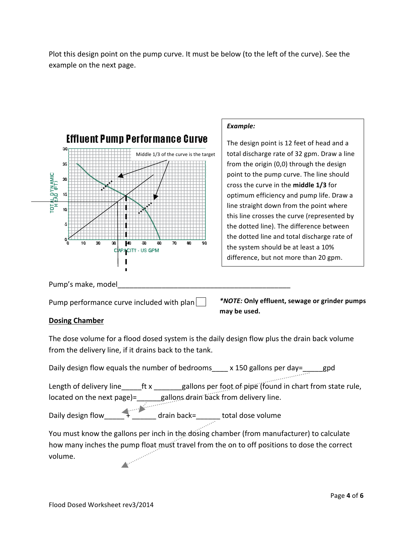Plot this design point on the pump curve. It must be below (to the left of the curve). See the example on the next page.



### *Example:*

The design point is 12 feet of head and a total discharge rate of 32 gpm. Draw a line from the origin  $(0,0)$  through the design point to the pump curve. The line should cross the curve in the **middle 1/3** for optimum efficiency and pump life. Draw a line straight down from the point where this line crosses the curve (represented by the dotted line). The difference between the dotted line and total discharge rate of the system should be at least a 10% difference, but not more than 20 gpm.

Pump's make, model

Pump performance curve included with plan  $\vert \ \vert$ 

*\*NOTE:* **Only effluent, sewage or grinder pumps**  may be used.

## **Dosing Chamber**

The dose volume for a flood dosed system is the daily design flow plus the drain back volume from the delivery line, if it drains back to the tank.

Daily design flow equals the number of bedrooms\_\_\_\_ x 150 gallons per day=\_\_\_\_gpd

Length of delivery line \_\_\_\_\_ft x \_\_\_\_\_\_\_gallons per foot of pipe (found in chart from state rule, located on the next page)=\_\_\_\_\_\_gallons drain back from delivery line.

Daily design flow\_\_\_\_\_ + \_\_\_\_\_\_ drain back=\_\_\_\_\_\_ total dose volume

You must know the gallons per inch in the dosing chamber (from manufacturer) to calculate how many inches the pump float must travel from the on to off positions to dose the correct volume. volume.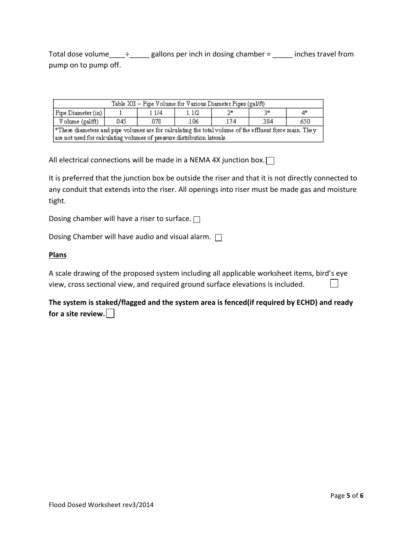Total dose volume\_\_\_\_ $\div$ \_\_\_\_\_ gallons per inch in dosing chamber = \_\_\_\_\_ inches travel from pump on to pump off.

| Table XII - Pipe Volume for Various Diameter Pipes (gal/ft)                                             |      |      |      |      |      |      |  |  |  |
|---------------------------------------------------------------------------------------------------------|------|------|------|------|------|------|--|--|--|
| Pipe Diameter (in)  <br>- 2*<br>2*<br>4*<br>1 1/4<br>1 1 1 2                                            |      |      |      |      |      |      |  |  |  |
| Volume (gal/ft)                                                                                         | .045 | .078 | .106 | .174 | .384 | .650 |  |  |  |
| *These diameters and pipe volumes are for calculating the total volume of the effluent force main. They |      |      |      |      |      |      |  |  |  |
| are not used for calculating volumes of pressure distribution laterals.                                 |      |      |      |      |      |      |  |  |  |

All electrical connections will be made in a NEMA 4X junction box.  $\Box$ 

It is preferred that the junction box be outside the riser and that it is not directly connected to any conduit that extends into the riser. All openings into riser must be made gas and moisture tight.

Dosing chamber will have a riser to surface.  $\Box$ 

Dosing Chamber will have audio and visual alarm.  $\Box$ 

#### **Plans**

A scale drawing of the proposed system including all applicable worksheet items, bird's eye view, cross sectional view, and required ground surface elevations is included.  $\perp$ 

The system is staked/flagged and the system area is fenced(if required by ECHD) and ready for a site review.  $\vert \ \vert$